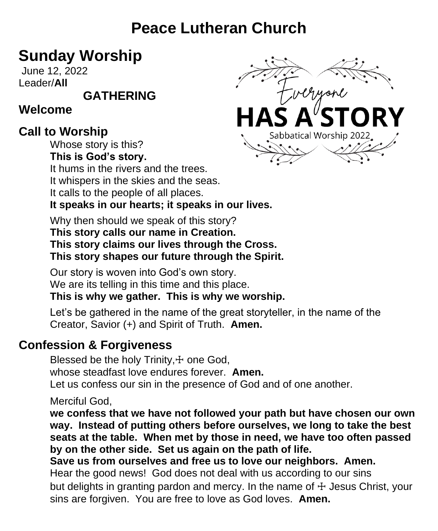# **Peace Lutheran Church**

# **Sunday Worship**

June 12, 2022 Leader/**All** 

**GATHERING**

# **Welcome**

# **Call to Worship**

Whose story is this? **This is God's story.**

It hums in the rivers and the trees.

It whispers in the skies and the seas.

It calls to the people of all places.

## **It speaks in our hearts; it speaks in our lives.**

Why then should we speak of this story?

#### **This story calls our name in Creation.**

**This story claims our lives through the Cross.**

**This story shapes our future through the Spirit.**

Our story is woven into God's own story. We are its telling in this time and this place.

**This is why we gather. This is why we worship.**

Let's be gathered in the name of the great storyteller, in the name of the Creator, Savior (+) and Spirit of Truth. **Amen.**

# **Confession & Forgiveness**

Blessed be the holy Trinity, + one God. whose steadfast love endures forever. **Amen.** Let us confess our sin in the presence of God and of one another.

Merciful God,

**we confess that we have not followed your path but have chosen our own way. Instead of putting others before ourselves, we long to take the best seats at the table. When met by those in need, we have too often passed by on the other side. Set us again on the path of life.**

**Save us from ourselves and free us to love our neighbors. Amen.** Hear the good news! God does not deal with us according to our sins but delights in granting pardon and mercy. In the name of  $\pm$  Jesus Christ, your sins are forgiven. You are free to love as God loves. **Amen.**

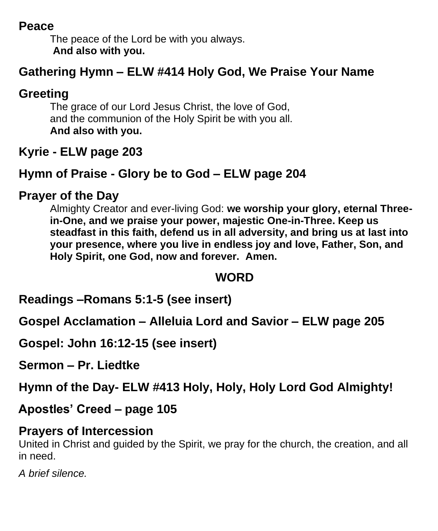#### **Peace**

The peace of the Lord be with you always. **And also with you.**

# **Gathering Hymn – ELW #414 Holy God, We Praise Your Name**

# **Greeting**

The grace of our Lord Jesus Christ, the love of God, and the communion of the Holy Spirit be with you all. **And also with you.** 

# **Kyrie - ELW page 203**

# **Hymn of Praise - Glory be to God – ELW page 204**

# **Prayer of the Day**

Almighty Creator and ever-living God: **we worship your glory, eternal Threein-One, and we praise your power, majestic One-in-Three. Keep us steadfast in this faith, defend us in all adversity, and bring us at last into your presence, where you live in endless joy and love, Father, Son, and Holy Spirit, one God, now and forever. Amen.**

## **WORD**

**Readings –Romans 5:1-5 (see insert)**

**Gospel Acclamation – Alleluia Lord and Savior – ELW page 205**

**Gospel: John 16:12-15 (see insert)**

**Sermon – Pr. Liedtke**

**Hymn of the Day- ELW #413 Holy, Holy, Holy Lord God Almighty!**

**Apostles' Creed – page 105**

#### **Prayers of Intercession**

United in Christ and guided by the Spirit, we pray for the church, the creation, and all in need.

*A brief silence.*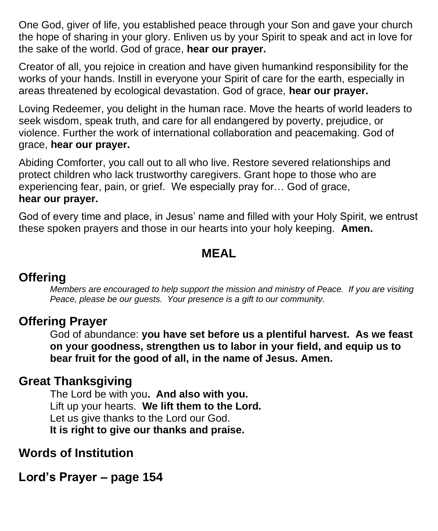One God, giver of life, you established peace through your Son and gave your church the hope of sharing in your glory. Enliven us by your Spirit to speak and act in love for the sake of the world. God of grace, **hear our prayer.**

Creator of all, you rejoice in creation and have given humankind responsibility for the works of your hands. Instill in everyone your Spirit of care for the earth, especially in areas threatened by ecological devastation. God of grace, **hear our prayer.**

Loving Redeemer, you delight in the human race. Move the hearts of world leaders to seek wisdom, speak truth, and care for all endangered by poverty, prejudice, or violence. Further the work of international collaboration and peacemaking. God of grace, **hear our prayer.**

Abiding Comforter, you call out to all who live. Restore severed relationships and protect children who lack trustworthy caregivers. Grant hope to those who are experiencing fear, pain, or grief. We especially pray for… God of grace, **hear our prayer.**

God of every time and place, in Jesus' name and filled with your Holy Spirit, we entrust these spoken prayers and those in our hearts into your holy keeping. **Amen.**

#### **MEAL**

#### **Offering**

*Members are encouraged to help support the mission and ministry of Peace. If you are visiting Peace, please be our guests. Your presence is a gift to our community.*

## **Offering Prayer**

God of abundance: **you have set before us a plentiful harvest. As we feast on your goodness, strengthen us to labor in your field, and equip us to bear fruit for the good of all, in the name of Jesus. Amen.**

## **Great Thanksgiving**

The Lord be with you**. And also with you.** Lift up your hearts. **We lift them to the Lord.** Let us give thanks to the Lord our God. **It is right to give our thanks and praise.**

## **Words of Institution**

**Lord's Prayer – page 154**